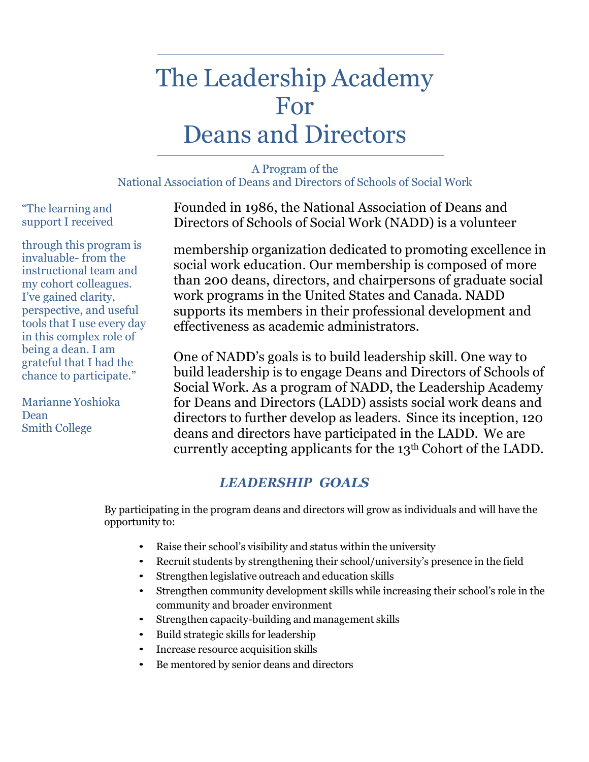# The Leadership Academy For Deans and Directors

#### A Program of the National Association of Deans and Directors of Schools of Social Work

"The learning and support I received

through this program is invaluable- from the instructional team and my cohort colleagues. I've gained clarity, perspective, and useful tools that I use every day in this complex role of being a dean. I am grateful that I had the chance to participate."

Marianne Yoshioka Dean Smith College

Founded in 1986, the National Association of Deans and Directors of Schools of Social Work (NADD) is a volunteer

membership organization dedicated to promoting excellence in social work education. Our membership is composed of more than 200 deans, directors, and chairpersons of graduate social work programs in the United States and Canada. NADD supports its members in their professional development and effectiveness as academic administrators.

One of NADD's goals is to build leadership skill. One way to build leadership is to engage Deans and Directors of Schools of Social Work. As a program of NADD, the Leadership Academy for Deans and Directors (LADD) assists social work deans and directors to further develop as leaders. Since its inception, 120 deans and directors have participated in the LADD. We are currently accepting applicants for the 13th Cohort of the LADD.

# *LEADERSHIP GOALS*

By participating in the program deans and directors will grow as individuals and will have the opportunity to:

- Raise their school's visibility and status within the university
- Recruit students by strengthening their school/university's presence in the field
- Strengthen legislative outreach and education skills
- Strengthen community development skills while increasing their school's role in the community and broader environment
- Strengthen capacity-building and management skills
- Build strategic skills for leadership
- Increase resource acquisition skills
- Be mentored by senior deans and directors